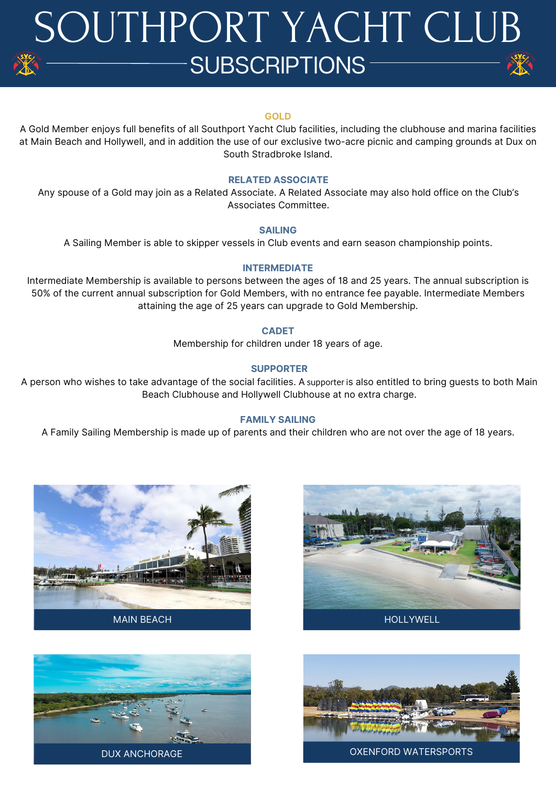# SOUTHPORT YACHT CLUB -SUBSCRIPTIONS-

#### **GOLD**

A Gold Member enjoys full benefits of all Southport Yacht Club facilities, including the clubhouse and marina facilities at Main Beach and Hollywell, and in addition the use of our exclusive two-acre picnic and camping grounds at Dux on South Stradbroke Island.

## **RELATED ASSOCIATE**

Any spouse of a Gold may join as a Related Associate. A Related Associate may also hold office on the Club's Associates Committee.

### **SAILING**

A Sailing Member is able to skipper vessels in Club events and earn season championship points.

#### **INTERMEDIATE**

Intermediate Membership is available to persons between the ages of 18 and 25 years. The annual subscription is 50% of the current annual subscription for Gold Members, with no entrance fee payable. Intermediate Members attaining the age of 25 years can upgrade to Gold Membership.

#### **CADET**

Membership for children under 18 years of age.

#### **SUPPORTER**

A person who wishes to take advantage of the social facilities. A supporter is also entitled to bring guests to both Main Beach Clubhouse and Hollywell Clubhouse at no extra charge.

#### **FAMILY SAILING**

A Family Sailing Membership is made up of parents and their children who are not over the age of 18 years.









DUX ANCHORAGE OXENFORD WATERSPORTS